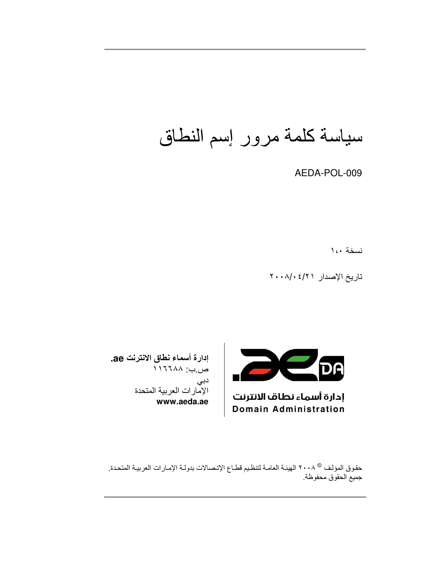سياسة كلمة مرور إسم النطاق

AEDA-POL-009

نسخة ١،٠

تاريخ الإصدار ٢٠٠٨/٠٤/٢



إدارة أسماء نطاف الانترنت **Domain Administration** 

إدارة أسماء نطاق الانترنت ae. ص.ب: ١١٦٦٨٨ دبی الإمارات العربية المتحدة www.aeda.ae

حقوق المؤلف ® ٢٠٠٨ الهيئـة العامـة لتنظيم قطـاع الإتـصـالات بدولـة الإمـارات العربيـة المتحدة. جميع الحقوق محفوظة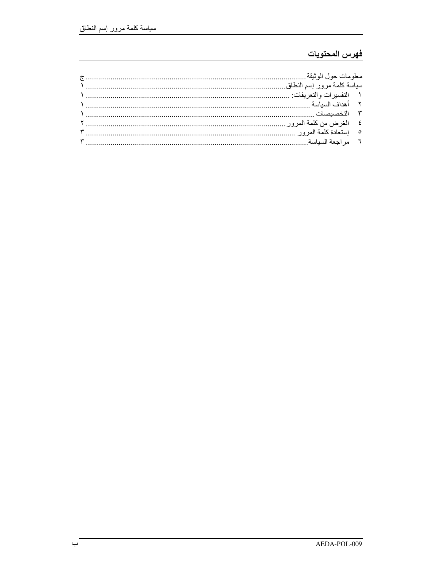## فهرس المحتويات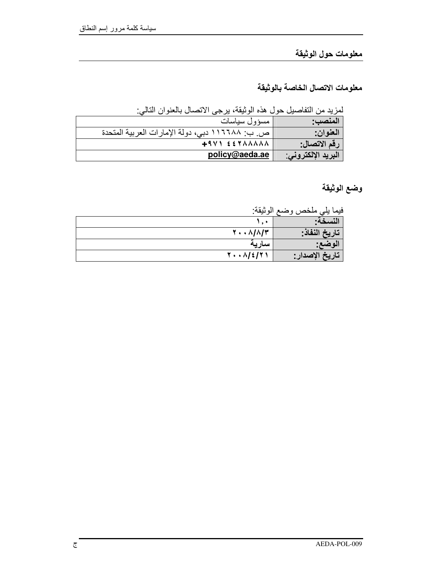## معلومات حول الوثيقة

معلومات الاتصال الخاصة بالوثيقة

لمزيد من التفاصيل حول هذه الوثيقة، يرجى الاتصال بالعنوان التالي:

| المنصب:            | مسؤول سياسات                                    |
|--------------------|-------------------------------------------------|
| العنوان:           | ص. ب: ١١٦٦٨٨ دبي، دولة الإمارات العربية المتحدة |
| رقم الاتصال:       | $+9V$ $557AAAAA$                                |
| البريد الإلكتروني: | policy@aeda.ae                                  |

وضع الوثيقة

فيما يلي ملخص وضع الوثيقة:

| .                                 | <u>J D</u><br>. . |
|-----------------------------------|-------------------|
|                                   | نسخه:             |
| $Y \cdot \cdot \Lambda/\Lambda/T$ | تاريخ النفاذ:     |
| سآريه                             | الوضع:            |
| $Y \cdot \cdot \Lambda / 2 / 7$   | ' تاريخ الإصدار : |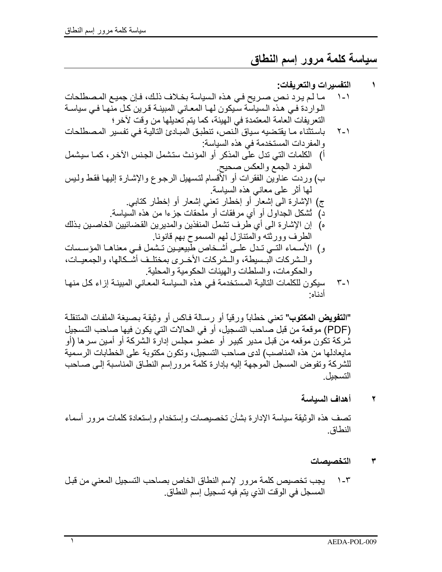# سياسة كلمة مرور إسم النطاق

### التفسير ات و التعريفات: ما لم يرد نص صريح في هذه السياسة بخلاف ذلك، فإن جميع المصطلحات  $\lambda$ الـواردة فـي هذه الـسياسة سـبكون لـهـا المعـانـي المبينــة قرين كـل منهـا فـي سياسـة النعريفات العامة المعتمدة في الهيئة، كما يتم تعديلها من وقت لآخر ؛ باستثناء ما يقتضيه سياق النص، تنطبق المبادئ التالية في تفسير المصطلحات  $Y - Y$ و المفر دات المستخدمة في هذه السياسة: أ) الكلمات التي تدل علَّى المذكر أو المؤنث ستشمل الجنس الآخر ، كمـا سيشمل المفرد الجمع والعكس صحيح. ب) وردت عناوين الفقرات أو الأقسام لتسهيل الرجوع والإشـارة إليهـا فقط ولـيس لمها أثر على معانى هذه السباسة. ج) الإشارة الى إشعارٌ أو إخطارٍ نعني إشعارٍ أو إخطارٍ كتابي. د) ثَشكل الجداول أو أي مرفقات أو ملحقات جزءا من هذه السياسة. ه) إن الإشارة الى أي طرف تشمل المنفذين والمديرين القضائيين الخاصين بذلك الطرف وورثته والمتنازل لهم المسموح بهم قانونا. و) الأسـماء التـي تـدل علـي أشـخاص طبيعيـين تـشمل فـي معناهـا المؤسـسات والـشركات البـسيطة، والـشركات الأخـري بمختلـف أشـكالها، والجمعيـات، و الحكو مات، و السلطات و الهيئات الحكو مية و المحلية. سيكون للكلمات التالية المستخدمة في هذه السياسة المعاني المبينة إزاء كل منها  $\mathsf{r}\mathsf{-1}$ أدناه·

"التقويض المكتوب" تعني خطاباً ورقياً أو رسالة فاكس أو وثيقة بصيغة الملفات المتنقلة (PDF) موقعة من قبل صاحب التسجيل، أو في الحالات التي يكون فيها صاحب التسجيل شركة تكون موقعه من قبل مدير كبير أو عضو مجلس إدارة الشركة أو أمين سر ها (أو مايعادلها من هذه المناصب) لدى صاحب التسجيل، وتكون مكتوبة على الخطابات الرسمية للشركة وتفوض المسجل الموجهة إليه بإدارة كلمة مرور إسم النطـاق المناسبة إلـى صـاحب التسحل

> أهداف السياسة ۲

تصف هذه الوثيقة سياسة الإدارة بشأن تخصيصات وإستخدام وإستعادة كلمات مرور أسماء النطاق

- التخصبصات ۳
- يجب تخصيص كلمة مرور لإسم النطاق الخاص بصاحب التسجيل المعنى من قبل  $1 - r$ المسجل في الوقت الذي يتم فيه تسجيل إسم النطاق.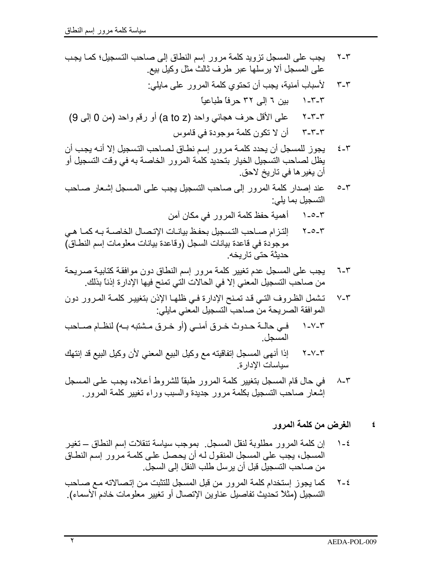- إلتزام صـاحب التسجيل بحفظ بيانـات الإتصـال الخاصـة بـه كمـا هـي  $Y_0 - Y$ موجودة في فاعدة بيانات السجل (وفاعدة بيانات معلومات إسم النطاق) حديثة حتى تار يخه.
- يجب على المسجل عدم تغيير كلمة مرور إسم النطاق دون موافقة كتابية صريحة  $7 - 5$ من صـاحب التسجيل المعنى إلا في الحالات التي تمنح فيها الإدارة إذناً بذلك.
- تشمل الظروف التي قد تمنح الإدارة في ظلها الإذن بتغيير كلمة المرور دون  $V - \tau$ الموافقة الصريحة منّ صاحب التسجيل المعني مايلي:
- في حالـة حـدوث خـرق أمنـي (أو خـرق مـشتبه بـه) لنظـام صــاحب  $\lambda$ - $V$ - $\tau$ المسجل.
- إذا أنهى المسجل إتفاقيته مع وكيل البيع المعنى لأن وكيل البيع قد إنتهك  $Y-Y-Y$ سباسات الادار ة.
- في حال قام المسجل بتغيير كلمة المرور طبقًا للشروط أعلاه، يجب على المسجل  $\Lambda$ - $\tau$ إشعار صاحب التسجيل بكلمة مرور جديدة والسبب وراء تغيير كلمة المرور

### الغرض من كلمة المرور  $\epsilon$

- إن كلمة المرور مطلوبة لنقل المسجل. بموجب سياسة تنقلات إسم النطاق ــ تغير  $\lambda - 2$ المسجل، يجب على المسجل المنقول لـه أن يحصل علـى كلمـة مرور إسم النطـاق من صاحب التسجيل قبل أن يرسل طلب النقل إلى السجل.
- كما يجوز إستخدام كلمة المرور من قبل المسجل للتثبت من إتصالاته مع صـاحب  $Y - \xi$ التسجيل (مثلاً تحديث تفاصيل عناوين الإتصال أو تغيير معلومات خادم الأسماء).